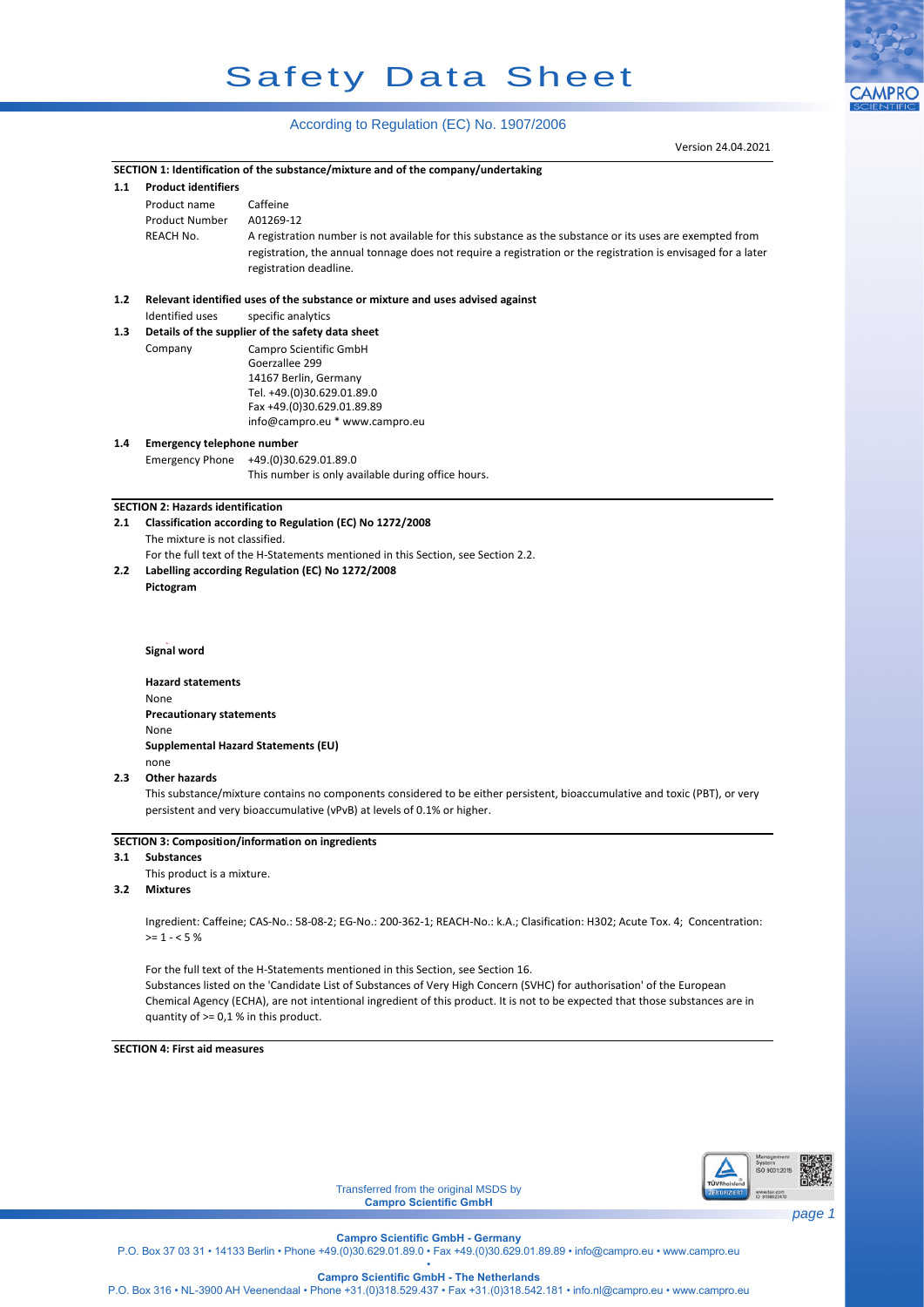# Safety Data Sheet

## According to Regulation (EC) No. 1907/2006

|     |                                                                                                                                                                           | Version 24.04.2021                                                                                                            |  |  |  |  |
|-----|---------------------------------------------------------------------------------------------------------------------------------------------------------------------------|-------------------------------------------------------------------------------------------------------------------------------|--|--|--|--|
|     |                                                                                                                                                                           | SECTION 1: Identification of the substance/mixture and of the company/undertaking                                             |  |  |  |  |
| 1.1 | <b>Product identifiers</b>                                                                                                                                                |                                                                                                                               |  |  |  |  |
|     | Product name                                                                                                                                                              | Caffeine                                                                                                                      |  |  |  |  |
|     | Product Number                                                                                                                                                            | A01269-12                                                                                                                     |  |  |  |  |
|     | <b>REACH No.</b>                                                                                                                                                          | A registration number is not available for this substance as the substance or its uses are exempted from                      |  |  |  |  |
|     |                                                                                                                                                                           | registration, the annual tonnage does not require a registration or the registration is envisaged for a later                 |  |  |  |  |
|     |                                                                                                                                                                           | registration deadline.                                                                                                        |  |  |  |  |
|     |                                                                                                                                                                           |                                                                                                                               |  |  |  |  |
| 1.2 |                                                                                                                                                                           | Relevant identified uses of the substance or mixture and uses advised against                                                 |  |  |  |  |
|     | <b>Identified uses</b>                                                                                                                                                    | specific analytics                                                                                                            |  |  |  |  |
| 1.3 |                                                                                                                                                                           | Details of the supplier of the safety data sheet                                                                              |  |  |  |  |
|     | Company                                                                                                                                                                   | Campro Scientific GmbH<br>Goerzallee 299                                                                                      |  |  |  |  |
|     |                                                                                                                                                                           | 14167 Berlin, Germany                                                                                                         |  |  |  |  |
|     |                                                                                                                                                                           | Tel. +49.(0)30.629.01.89.0                                                                                                    |  |  |  |  |
|     |                                                                                                                                                                           | Fax +49.(0)30.629.01.89.89                                                                                                    |  |  |  |  |
|     |                                                                                                                                                                           | info@campro.eu * www.campro.eu                                                                                                |  |  |  |  |
| 1.4 | <b>Emergency telephone number</b>                                                                                                                                         |                                                                                                                               |  |  |  |  |
|     | <b>Emergency Phone</b>                                                                                                                                                    | +49.(0)30.629.01.89.0                                                                                                         |  |  |  |  |
|     |                                                                                                                                                                           | This number is only available during office hours.                                                                            |  |  |  |  |
|     |                                                                                                                                                                           |                                                                                                                               |  |  |  |  |
|     | <b>SECTION 2: Hazards identification</b>                                                                                                                                  |                                                                                                                               |  |  |  |  |
| 2.1 | Classification according to Regulation (EC) No 1272/2008                                                                                                                  |                                                                                                                               |  |  |  |  |
|     | The mixture is not classified.                                                                                                                                            |                                                                                                                               |  |  |  |  |
|     | For the full text of the H-Statements mentioned in this Section, see Section 2.2.                                                                                         |                                                                                                                               |  |  |  |  |
| 2.2 |                                                                                                                                                                           | Labelling according Regulation (EC) No 1272/2008                                                                              |  |  |  |  |
|     | Pictogram                                                                                                                                                                 |                                                                                                                               |  |  |  |  |
|     |                                                                                                                                                                           |                                                                                                                               |  |  |  |  |
|     |                                                                                                                                                                           |                                                                                                                               |  |  |  |  |
|     |                                                                                                                                                                           |                                                                                                                               |  |  |  |  |
|     |                                                                                                                                                                           | <b>Signal word</b>                                                                                                            |  |  |  |  |
|     | <b>Hazard statements</b>                                                                                                                                                  |                                                                                                                               |  |  |  |  |
|     | None                                                                                                                                                                      |                                                                                                                               |  |  |  |  |
|     |                                                                                                                                                                           | <b>Precautionary statements</b>                                                                                               |  |  |  |  |
|     | None                                                                                                                                                                      |                                                                                                                               |  |  |  |  |
|     |                                                                                                                                                                           | Supplemental Hazard Statements (EU)                                                                                           |  |  |  |  |
|     | none                                                                                                                                                                      |                                                                                                                               |  |  |  |  |
| 2.3 | <b>Other hazards</b>                                                                                                                                                      |                                                                                                                               |  |  |  |  |
|     |                                                                                                                                                                           | This substance/mixture contains no components considered to be either persistent, bioaccumulative and toxic (PBT), or very    |  |  |  |  |
|     |                                                                                                                                                                           | persistent and very bioaccumulative (vPvB) at levels of 0.1% or higher.                                                       |  |  |  |  |
|     |                                                                                                                                                                           |                                                                                                                               |  |  |  |  |
|     |                                                                                                                                                                           | <b>SECTION 3: Composition/information on ingredients</b>                                                                      |  |  |  |  |
| 3.1 | <b>Substances</b>                                                                                                                                                         |                                                                                                                               |  |  |  |  |
|     | This product is a mixture.                                                                                                                                                |                                                                                                                               |  |  |  |  |
| 3.2 | <b>Mixtures</b>                                                                                                                                                           |                                                                                                                               |  |  |  |  |
|     |                                                                                                                                                                           |                                                                                                                               |  |  |  |  |
|     |                                                                                                                                                                           | Ingredient: Caffeine; CAS-No.: 58-08-2; EG-No.: 200-362-1; REACH-No.: k.A.; Clasification: H302; Acute Tox. 4; Concentration: |  |  |  |  |
|     | $>= 1 - 5%$                                                                                                                                                               |                                                                                                                               |  |  |  |  |
|     |                                                                                                                                                                           |                                                                                                                               |  |  |  |  |
|     | For the full text of the H-Statements mentioned in this Section, see Section 16.                                                                                          |                                                                                                                               |  |  |  |  |
|     | Substances listed on the 'Candidate List of Substances of Very High Concern (SVHC) for authorisation' of the European                                                     |                                                                                                                               |  |  |  |  |
|     | Chemical Agency (ECHA), are not intentional ingredient of this product. It is not to be expected that those substances are in<br>quantity of $> = 0.1$ % in this product. |                                                                                                                               |  |  |  |  |
|     |                                                                                                                                                                           |                                                                                                                               |  |  |  |  |
|     | <b>SECTION 4: First aid measures</b>                                                                                                                                      |                                                                                                                               |  |  |  |  |
|     |                                                                                                                                                                           |                                                                                                                               |  |  |  |  |
|     |                                                                                                                                                                           |                                                                                                                               |  |  |  |  |
|     |                                                                                                                                                                           |                                                                                                                               |  |  |  |  |
|     |                                                                                                                                                                           |                                                                                                                               |  |  |  |  |
|     |                                                                                                                                                                           |                                                                                                                               |  |  |  |  |



Transferred from the original MSDS by **Campro Scientific GmbH**

**CAMPRO** 

**Campro Scientific GmbH - The Netherlands**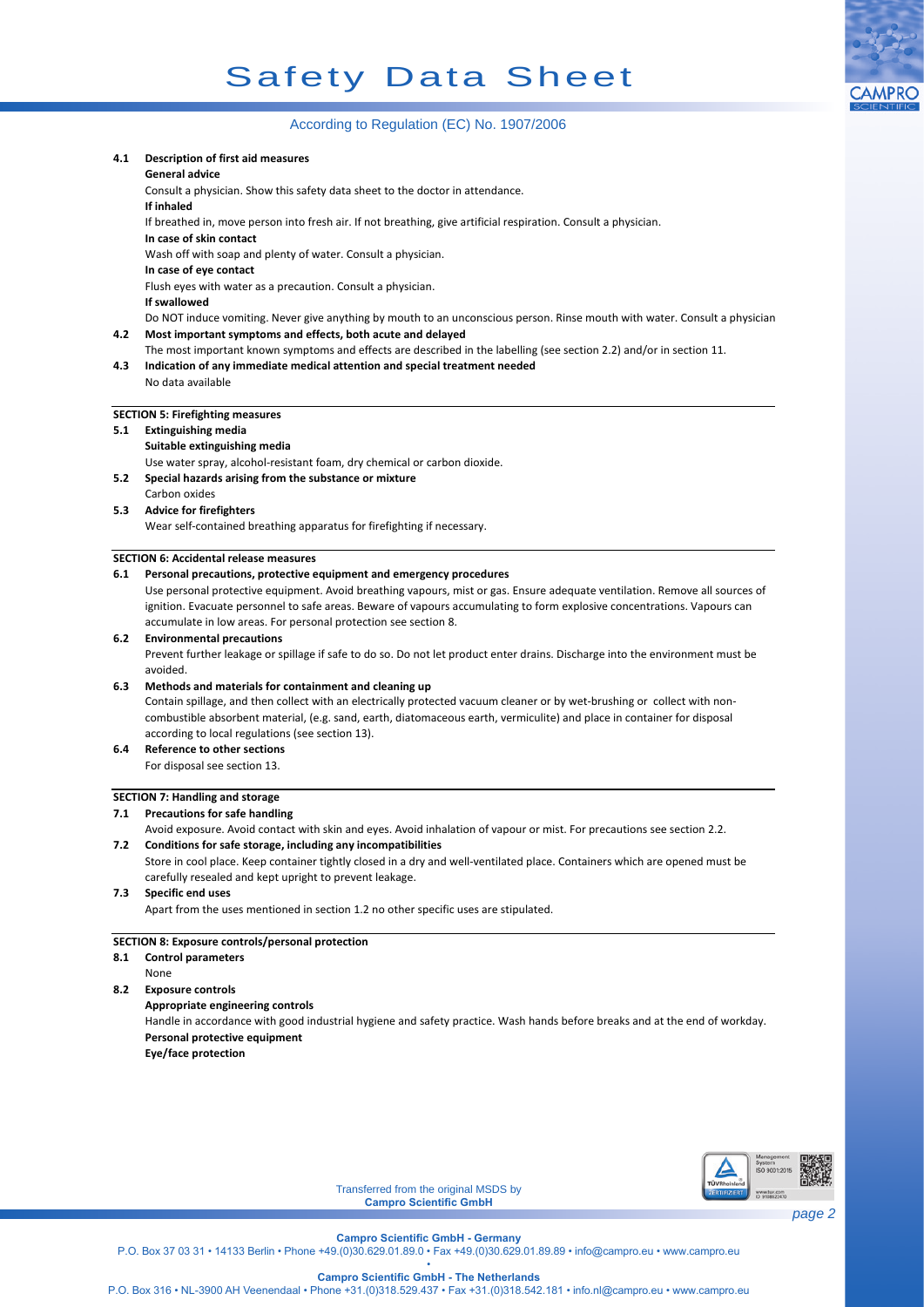

## According to Regulation (EC) No. 1907/2006

## **4.1 Description of first aid measures General advice** Consult a physician. Show this safety data sheet to the doctor in attendance. **If inhaled** If breathed in, move person into fresh air. If not breathing, give artificial respiration. Consult a physician. **In case of skin contact** Wash off with soap and plenty of water. Consult a physician. **In case of eye contact** Flush eyes with water as a precaution. Consult a physician. **If swallowed** Do NOT induce vomiting. Never give anything by mouth to an unconscious person. Rinse mouth with water. Consult a physician. **4.2 Most important symptoms and effects, both acute and delayed** The most important known symptoms and effects are described in the labelling (see section 2.2) and/or in section 11. **4.3 Indication of any immediate medical attention and special treatment needed** No data available **SECTION 5: Firefighting measures 5.1 Extinguishing media Suitable extinguishing media** Use water spray, alcohol-resistant foam, dry chemical or carbon dioxide. **5.2 Special hazards arising from the substance or mixture** Carbon oxides **5.3 Advice for firefighters** Wear self-contained breathing apparatus for firefighting if necessary. **SECTION 6: Accidental release measures 6.1 Personal precautions, protective equipment and emergency procedures 6.2 Environmental precautions 6.3 Methods and materials for containment and cleaning up 6.4 Reference to other sections** For disposal see section 13. **7.2 Conditions for safe storage, including any incompatibilities 7.3 Specific end uses** Apart from the uses mentioned in section 1.2 no other specific uses are stipulated. **8.1 Control parameters 8.2 Exposure controls Appropriate engineering controls** Handle in accordance with good industrial hygiene and safety practice. Wash hands before breaks and at the end of workday. **Personal protective equipment Eye/face protection** Prevent further leakage or spillage if safe to do so. Do not let product enter drains. Discharge into the environment must be avoided. Contain spillage, and then collect with an electrically protected vacuum cleaner or by wet-brushing or collect with noncombustible absorbent material, (e.g. sand, earth, diatomaceous earth, vermiculite) and place in container for disposal according to local regulations (see section 13). Store in cool place. Keep container tightly closed in a dry and well-ventilated place. Containers which are opened must be carefully resealed and kept upright to prevent leakage. Avoid exposure. Avoid contact with skin and eyes. Avoid inhalation of vapour or mist. For precautions see section 2.2. None Use personal protective equipment. Avoid breathing vapours, mist or gas. Ensure adequate ventilation. Remove all sources of ignition. Evacuate personnel to safe areas. Beware of vapours accumulating to form explosive concentrations. Vapours can accumulate in low areas. For personal protection see section 8.



Transferred from the original MSDS by **Campro Scientific GmbH**

**Campro Scientific GmbH - Germany** P.O. Box 37 03 31 • 14133 Berlin • Phone +49.(0)30.629.01.89.0 • Fax +49.(0)30.629.01.89.89 • info@campro.eu • www.campro.eu •

**Campro Scientific GmbH - The Netherlands**

P.O. Box 316 • NL-3900 AH Veenendaal • Phone +31.(0)318.529.437 • Fax +31.(0)318.542.181 • info.nl@campro.eu • www.campro.eu

## **SECTION 7: Handling and storage**

## **7.1 Precautions for safe handling**

## **SECTION 8: Exposure controls/personal protection**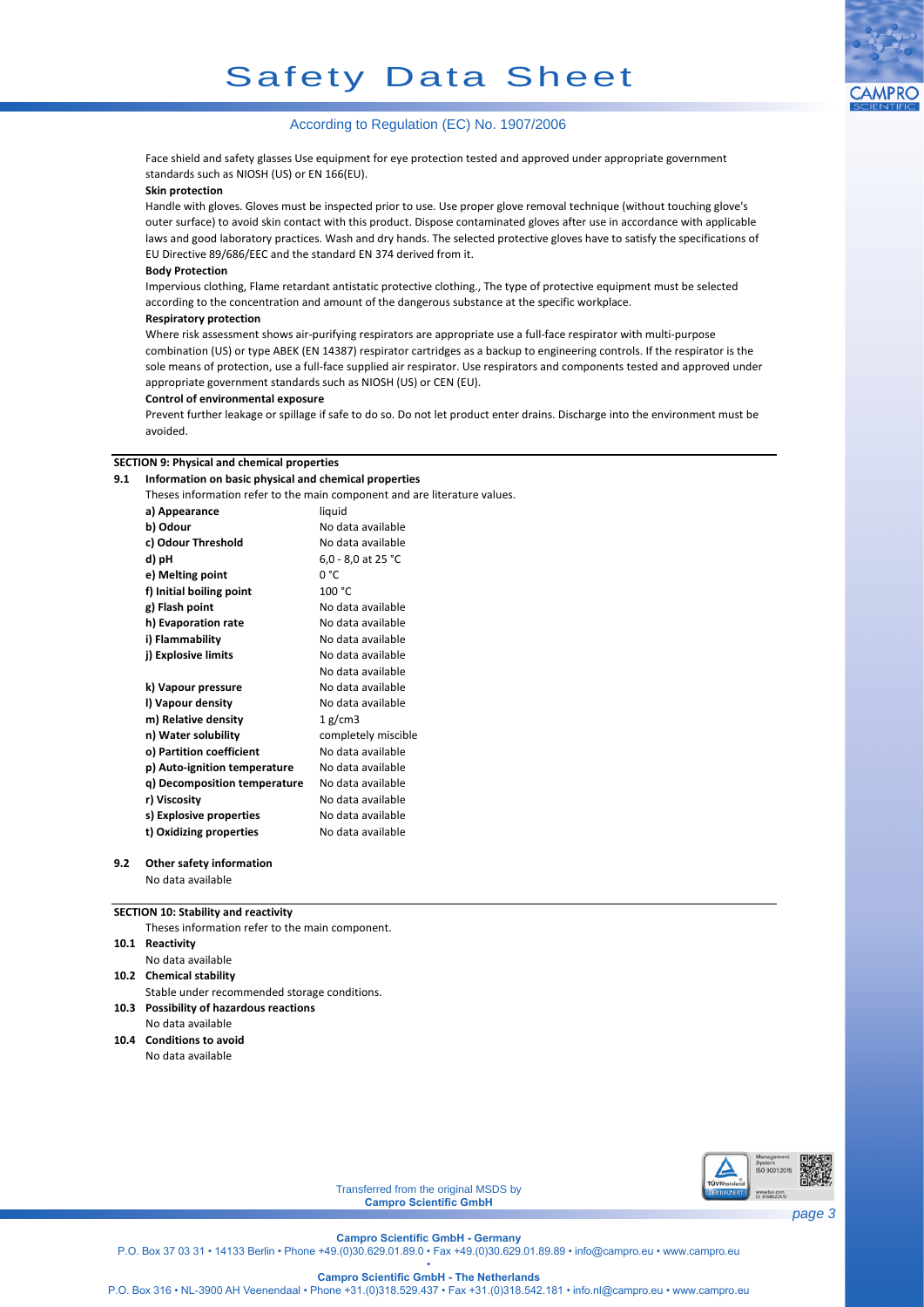

## According to Regulation (EC) No. 1907/2006

Face shield and safety glasses Use equipment for eye protection tested and approved under appropriate government standards such as NIOSH (US) or EN 166(EU).

### **Skin protection**

Handle with gloves. Gloves must be inspected prior to use. Use proper glove removal technique (without touching glove's outer surface) to avoid skin contact with this product. Dispose contaminated gloves after use in accordance with applicable laws and good laboratory practices. Wash and dry hands. The selected protective gloves have to satisfy the specifications of EU Directive 89/686/EEC and the standard EN 374 derived from it.

### **Body Protection**

Impervious clothing, Flame retardant antistatic protective clothing., The type of protective equipment must be selected according to the concentration and amount of the dangerous substance at the specific workplace.

### **Respiratory protection**

Where risk assessment shows air-purifying respirators are appropriate use a full-face respirator with multi-purpose combination (US) or type ABEK (EN 14387) respirator cartridges as a backup to engineering controls. If the respirator is the sole means of protection, use a full-face supplied air respirator. Use respirators and components tested and approved under appropriate government standards such as NIOSH (US) or CEN (EU).

#### **Control of environmental exposure**

Prevent further leakage or spillage if safe to do so. Do not let product enter drains. Discharge into the environment must be avoided.

#### **SECTION 9: Physical and chemical properties**

#### **9.1 Information on basic physical and chemical properties**

Theses information refer to the main component and are literature values.

| a) Appearance                | liquid              |
|------------------------------|---------------------|
| b) Odour                     | No data available   |
| c) Odour Threshold           | No data available   |
| d) pH                        | 6,0 - 8,0 at 25 °C  |
| e) Melting point             | n °C                |
| f) Initial boiling point     | 100 °C              |
| g) Flash point               | No data available   |
| h) Evaporation rate          | No data available   |
| i) Flammability              | No data available   |
| j) Explosive limits          | No data available   |
|                              | No data available   |
| k) Vapour pressure           | No data available   |
| l) Vapour density            | No data available   |
| m) Relative density          | 1 g/cm3             |
| n) Water solubility          | completely miscible |
| o) Partition coefficient     | No data available   |
| p) Auto-ignition temperature | No data available   |
| q) Decomposition temperature | No data available   |
| r) Viscosity                 | No data available   |
| s) Explosive properties      | No data available   |
| t) Oxidizing properties      | No data available   |
|                              |                     |

## **9.2 Other safety information**

No data available

## **SECTION 10: Stability and reactivity**

**10.1 Reactivity 10.2 Chemical stability 10.3 Possibility of hazardous reactions** Theses information refer to the main component. No data available Stable under recommended storage conditions. No data available

**10.4 Conditions to avoid** No data available



Transferred from the original MSDS by **Campro Scientific GmbH**

**Campro Scientific GmbH - Germany**

P.O. Box 37 03 31 • 14133 Berlin • Phone +49.(0)30.629.01.89.0 • Fax +49.(0)30.629.01.89.89 • info@campro.eu • www.campro.eu

• **Campro Scientific GmbH - The Netherlands**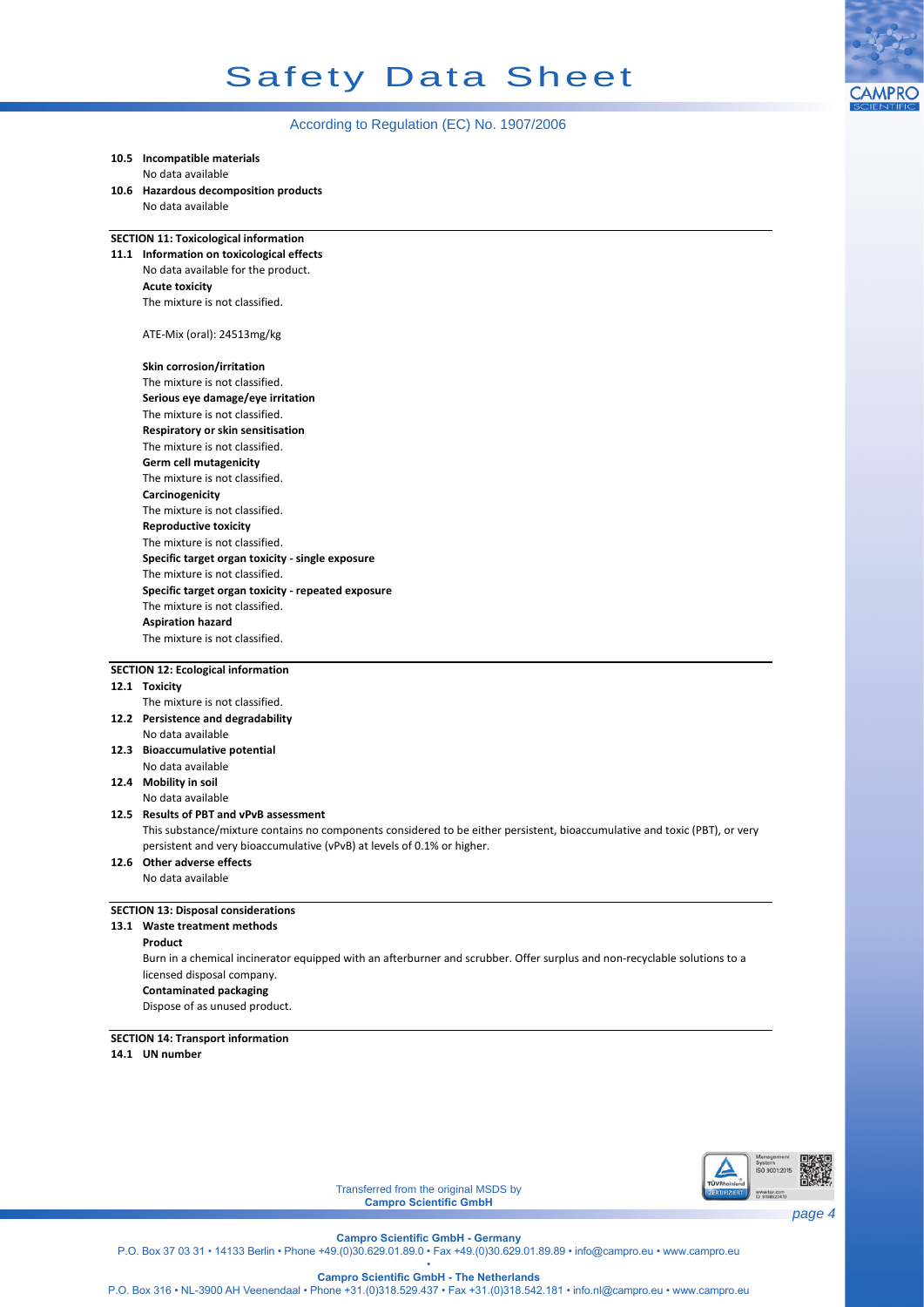# Safety Data Sheet



## According to Regulation (EC) No. 1907/2006

| 10.5 Incompatible materials                                                                                                |  |  |  |  |
|----------------------------------------------------------------------------------------------------------------------------|--|--|--|--|
| No data available                                                                                                          |  |  |  |  |
| 10.6 Hazardous decomposition products                                                                                      |  |  |  |  |
| No data available                                                                                                          |  |  |  |  |
|                                                                                                                            |  |  |  |  |
| <b>SECTION 11: Toxicological information</b>                                                                               |  |  |  |  |
| 11.1 Information on toxicological effects                                                                                  |  |  |  |  |
| No data available for the product.                                                                                         |  |  |  |  |
| <b>Acute toxicity</b>                                                                                                      |  |  |  |  |
| The mixture is not classified.                                                                                             |  |  |  |  |
| ATE-Mix (oral): 24513mg/kg                                                                                                 |  |  |  |  |
| Skin corrosion/irritation                                                                                                  |  |  |  |  |
| The mixture is not classified.                                                                                             |  |  |  |  |
| Serious eye damage/eye irritation                                                                                          |  |  |  |  |
| The mixture is not classified.                                                                                             |  |  |  |  |
| Respiratory or skin sensitisation                                                                                          |  |  |  |  |
| The mixture is not classified.                                                                                             |  |  |  |  |
| <b>Germ cell mutagenicity</b>                                                                                              |  |  |  |  |
| The mixture is not classified.                                                                                             |  |  |  |  |
| Carcinogenicity                                                                                                            |  |  |  |  |
| The mixture is not classified.                                                                                             |  |  |  |  |
| <b>Reproductive toxicity</b>                                                                                               |  |  |  |  |
| The mixture is not classified.                                                                                             |  |  |  |  |
| Specific target organ toxicity - single exposure                                                                           |  |  |  |  |
| The mixture is not classified.                                                                                             |  |  |  |  |
| Specific target organ toxicity - repeated exposure                                                                         |  |  |  |  |
| The mixture is not classified.                                                                                             |  |  |  |  |
|                                                                                                                            |  |  |  |  |
| <b>Aspiration hazard</b>                                                                                                   |  |  |  |  |
| The mixture is not classified.                                                                                             |  |  |  |  |
| <b>SECTION 12: Ecological information</b>                                                                                  |  |  |  |  |
| 12.1 Toxicity                                                                                                              |  |  |  |  |
| The mixture is not classified.                                                                                             |  |  |  |  |
| 12.2 Persistence and degradability                                                                                         |  |  |  |  |
| No data available                                                                                                          |  |  |  |  |
| 12.3 Bioaccumulative potential                                                                                             |  |  |  |  |
| No data available                                                                                                          |  |  |  |  |
| 12.4 Mobility in soil                                                                                                      |  |  |  |  |
| No data available                                                                                                          |  |  |  |  |
| 12.5 Results of PBT and vPvB assessment                                                                                    |  |  |  |  |
| This substance/mixture contains no components considered to be either persistent, bioaccumulative and toxic (PBT), or very |  |  |  |  |
| persistent and very bioaccumulative (vPvB) at levels of 0.1% or higher.                                                    |  |  |  |  |
| 12.6 Other adverse effects                                                                                                 |  |  |  |  |
| No data available                                                                                                          |  |  |  |  |
|                                                                                                                            |  |  |  |  |
| <b>SECTION 13: Disposal considerations</b>                                                                                 |  |  |  |  |
| 13.1 Waste treatment methods                                                                                               |  |  |  |  |
| Product                                                                                                                    |  |  |  |  |
| Burn in a chemical incinerator equipped with an afterburner and scrubber. Offer surplus and non-recyclable solutions to a  |  |  |  |  |
| licensed disposal company.                                                                                                 |  |  |  |  |
| <b>Contaminated packaging</b>                                                                                              |  |  |  |  |
| Dispose of as unused product.                                                                                              |  |  |  |  |
|                                                                                                                            |  |  |  |  |
| <b>SECTION 14: Transport information</b>                                                                                   |  |  |  |  |
| 14.1 UN number                                                                                                             |  |  |  |  |
|                                                                                                                            |  |  |  |  |
|                                                                                                                            |  |  |  |  |
|                                                                                                                            |  |  |  |  |
|                                                                                                                            |  |  |  |  |



Transferred from the original MSDS by **Campro Scientific GmbH**

**Campro Scientific GmbH - The Netherlands**

P.O. Box 316 • NL-3900 AH Veenendaal • Phone +31.(0)318.529.437 • Fax +31.(0)318.542.181 • info.nl@campro.eu • www.campro.eu